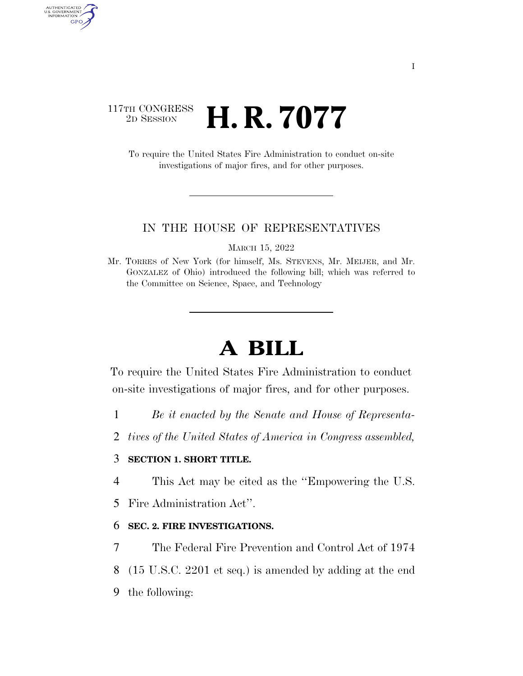## 117TH CONGRESS <sup>2D SESSION</sup> **H. R. 7077**

AUTHENTICATED<br>U.S. GOVERNMENT<br>INFORMATION GPO

> To require the United States Fire Administration to conduct on-site investigations of major fires, and for other purposes.

#### IN THE HOUSE OF REPRESENTATIVES

MARCH 15, 2022

Mr. TORRES of New York (for himself, Ms. STEVENS, Mr. MEIJER, and Mr. GONZALEZ of Ohio) introduced the following bill; which was referred to the Committee on Science, Space, and Technology

# **A BILL**

To require the United States Fire Administration to conduct on-site investigations of major fires, and for other purposes.

- 1 *Be it enacted by the Senate and House of Representa-*
- 2 *tives of the United States of America in Congress assembled,*

### 3 **SECTION 1. SHORT TITLE.**

- 4 This Act may be cited as the ''Empowering the U.S.
- 5 Fire Administration Act''.

### 6 **SEC. 2. FIRE INVESTIGATIONS.**

- 7 The Federal Fire Prevention and Control Act of 1974
- 8 (15 U.S.C. 2201 et seq.) is amended by adding at the end
- 9 the following: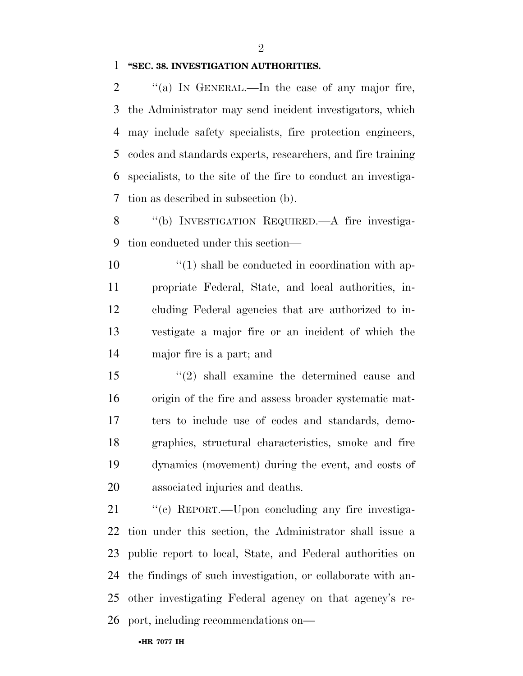$\mathfrak{D}$ 

#### **''SEC. 38. INVESTIGATION AUTHORITIES.**

 $\%$  (a) In GENERAL.—In the case of any major fire, the Administrator may send incident investigators, which may include safety specialists, fire protection engineers, codes and standards experts, researchers, and fire training specialists, to the site of the fire to conduct an investiga-tion as described in subsection (b).

 ''(b) INVESTIGATION REQUIRED.—A fire investiga-tion conducted under this section—

 $\frac{10}{10}$  shall be conducted in coordination with ap- propriate Federal, State, and local authorities, in- cluding Federal agencies that are authorized to in- vestigate a major fire or an incident of which the major fire is a part; and

 ''(2) shall examine the determined cause and origin of the fire and assess broader systematic mat- ters to include use of codes and standards, demo- graphics, structural characteristics, smoke and fire dynamics (movement) during the event, and costs of associated injuries and deaths.

21 "(c) REPORT.—Upon concluding any fire investiga- tion under this section, the Administrator shall issue a public report to local, State, and Federal authorities on the findings of such investigation, or collaborate with an- other investigating Federal agency on that agency's re-port, including recommendations on—